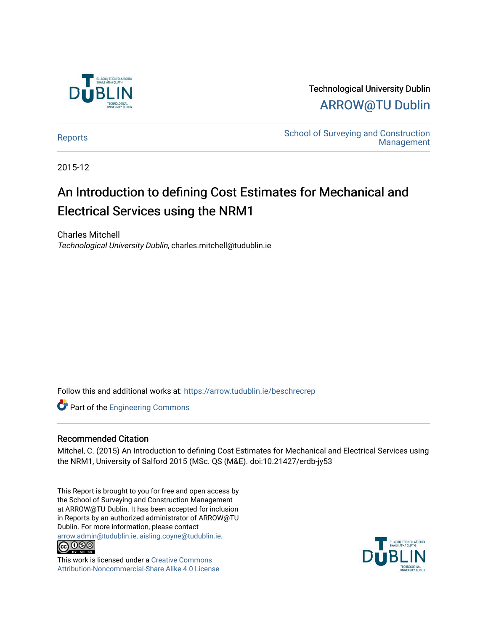

Technological University Dublin [ARROW@TU Dublin](https://arrow.tudublin.ie/) 

[Reports](https://arrow.tudublin.ie/beschrecrep) Reports Accounts School of Surveying and Construction<br>Management [Management](https://arrow.tudublin.ie/beschrec) 

2015-12

## An Introduction to defining Cost Estimates for Mechanical and Electrical Services using the NRM1

Charles Mitchell Technological University Dublin, charles.mitchell@tudublin.ie

Follow this and additional works at: [https://arrow.tudublin.ie/beschrecrep](https://arrow.tudublin.ie/beschrecrep?utm_source=arrow.tudublin.ie%2Fbeschrecrep%2F14&utm_medium=PDF&utm_campaign=PDFCoverPages) 

**Part of the [Engineering Commons](http://network.bepress.com/hgg/discipline/217?utm_source=arrow.tudublin.ie%2Fbeschrecrep%2F14&utm_medium=PDF&utm_campaign=PDFCoverPages)** 

## Recommended Citation

Mitchel, C. (2015) An Introduction to defining Cost Estimates for Mechanical and Electrical Services using the NRM1, University of Salford 2015 (MSc. QS (M&E). doi:10.21427/erdb-jy53

This Report is brought to you for free and open access by the School of Surveying and Construction Management at ARROW@TU Dublin. It has been accepted for inclusion in Reports by an authorized administrator of ARROW@TU Dublin. For more information, please contact [arrow.admin@tudublin.ie, aisling.coyne@tudublin.ie](mailto:arrow.admin@tudublin.ie,%20aisling.coyne@tudublin.ie).<br>
co 000



This work is licensed under a [Creative Commons](http://creativecommons.org/licenses/by-nc-sa/4.0/) [Attribution-Noncommercial-Share Alike 4.0 License](http://creativecommons.org/licenses/by-nc-sa/4.0/)

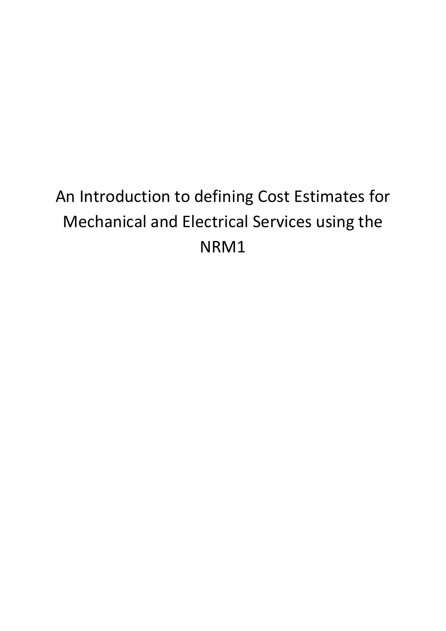# An Introduction to defining Cost Estimates for Mechanical and Electrical Services using the NRM1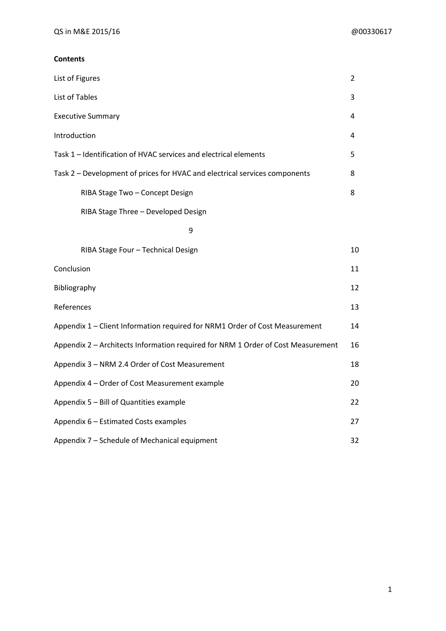#### **Contents**

| List of Figures                                                                  | $\overline{2}$ |
|----------------------------------------------------------------------------------|----------------|
| List of Tables                                                                   | 3              |
| <b>Executive Summary</b>                                                         | 4              |
| Introduction                                                                     | 4              |
| Task 1 - Identification of HVAC services and electrical elements                 | 5.             |
| Task 2 - Development of prices for HVAC and electrical services components       | 8              |
| RIBA Stage Two - Concept Design                                                  | 8              |
| RIBA Stage Three - Developed Design                                              |                |
| 9                                                                                |                |
| RIBA Stage Four - Technical Design                                               | 10             |
| Conclusion                                                                       | 11             |
| Bibliography                                                                     | 12             |
| References                                                                       | 13             |
| Appendix 1 - Client Information required for NRM1 Order of Cost Measurement      | 14             |
| Appendix 2 - Architects Information required for NRM 1 Order of Cost Measurement | 16             |
| Appendix 3 - NRM 2.4 Order of Cost Measurement                                   | 18             |
| Appendix 4 - Order of Cost Measurement example                                   | 20             |
| Appendix 5 - Bill of Quantities example                                          | 22             |
| Appendix 6 - Estimated Costs examples                                            | 27             |
| Appendix 7 - Schedule of Mechanical equipment                                    | 32             |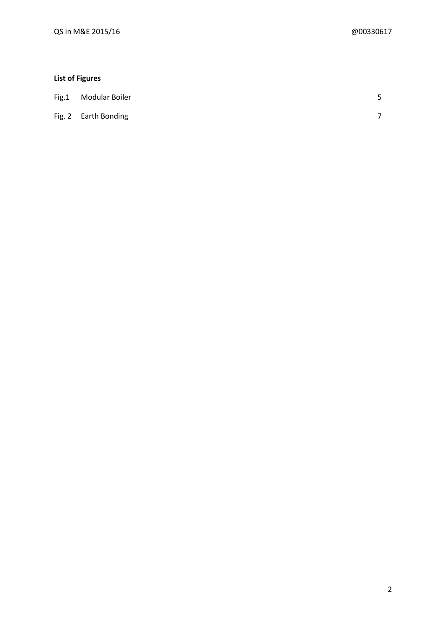## **List of Figures**

| Fig.1 Modular Boiler |  |
|----------------------|--|
| Fig. 2 Earth Bonding |  |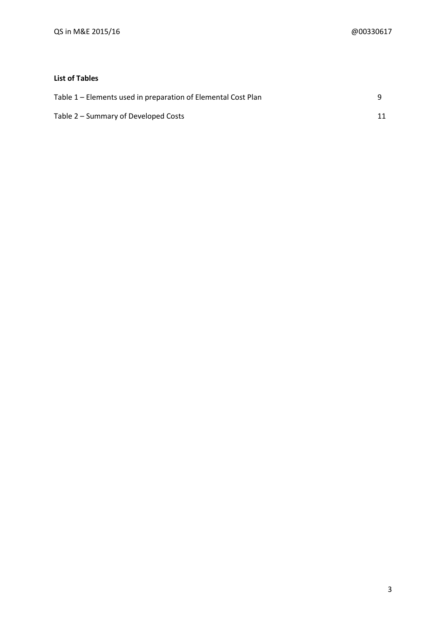## **List of Tables**

| Table 1 – Elements used in preparation of Elemental Cost Plan |  |
|---------------------------------------------------------------|--|
| Table 2 – Summary of Developed Costs                          |  |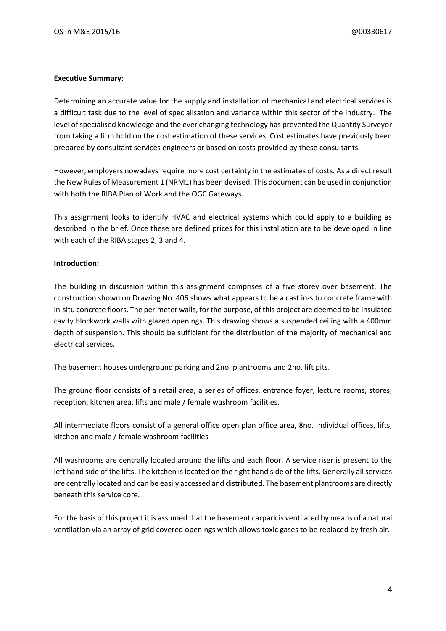### **Executive Summary:**

Determining an accurate value for the supply and installation of mechanical and electrical services is a difficult task due to the level of specialisation and variance within this sector of the industry. The level of specialised knowledge and the ever changing technology has prevented the Quantity Surveyor from taking a firm hold on the cost estimation of these services. Cost estimates have previously been prepared by consultant services engineers or based on costs provided by these consultants.

However, employers nowadays require more cost certainty in the estimates of costs. As a direct result the New Rules of Measurement 1 (NRM1) has been devised. This document can be used in conjunction with both the RIBA Plan of Work and the OGC Gateways.

This assignment looks to identify HVAC and electrical systems which could apply to a building as described in the brief. Once these are defined prices for this installation are to be developed in line with each of the RIBA stages 2, 3 and 4.

#### **Introduction:**

The building in discussion within this assignment comprises of a five storey over basement. The construction shown on Drawing No. 406 shows what appears to be a cast in-situ concrete frame with in-situ concrete floors. The perimeter walls, for the purpose, of this project are deemed to be insulated cavity blockwork walls with glazed openings. This drawing shows a suspended ceiling with a 400mm depth of suspension. This should be sufficient for the distribution of the majority of mechanical and electrical services.

The basement houses underground parking and 2no. plantrooms and 2no. lift pits.

The ground floor consists of a retail area, a series of offices, entrance foyer, lecture rooms, stores, reception, kitchen area, lifts and male / female washroom facilities.

All intermediate floors consist of a general office open plan office area, 8no. individual offices, lifts, kitchen and male / female washroom facilities

All washrooms are centrally located around the lifts and each floor. A service riser is present to the left hand side of the lifts. The kitchen is located on the right hand side of the lifts. Generally all services are centrally located and can be easily accessed and distributed. The basement plantrooms are directly beneath this service core.

For the basis of this project it is assumed that the basement carpark is ventilated by means of a natural ventilation via an array of grid covered openings which allows toxic gases to be replaced by fresh air.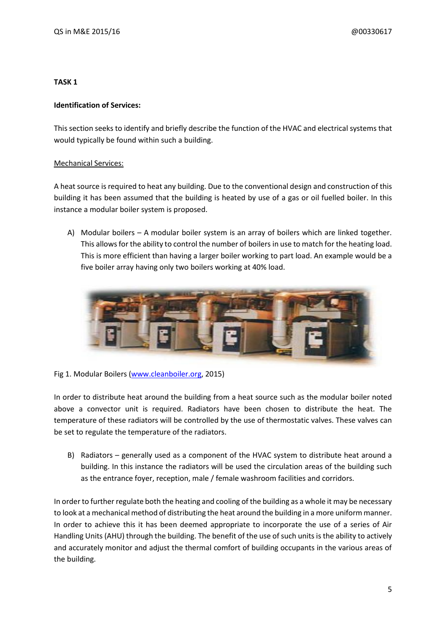## **TASK 1**

## **Identification of Services:**

This section seeks to identify and briefly describe the function of the HVAC and electrical systems that would typically be found within such a building.

## Mechanical Services:

A heat source is required to heat any building. Due to the conventional design and construction of this building it has been assumed that the building is heated by use of a gas or oil fuelled boiler. In this instance a modular boiler system is proposed.

A) Modular boilers – A modular boiler system is an array of boilers which are linked together. This allows for the ability to control the number of boilers in use to match for the heating load. This is more efficient than having a larger boiler working to part load. An example would be a five boiler array having only two boilers working at 40% load.



### Fig 1. Modular Boilers [\(www.cleanboiler.org,](http://www.cleanboiler.org/) 2015)

In order to distribute heat around the building from a heat source such as the modular boiler noted above a convector unit is required. Radiators have been chosen to distribute the heat. The temperature of these radiators will be controlled by the use of thermostatic valves. These valves can be set to regulate the temperature of the radiators.

B) Radiators – generally used as a component of the HVAC system to distribute heat around a building. In this instance the radiators will be used the circulation areas of the building such as the entrance foyer, reception, male / female washroom facilities and corridors.

In order to further regulate both the heating and cooling of the building as a whole it may be necessary to look at a mechanical method of distributing the heat around the building in a more uniform manner. In order to achieve this it has been deemed appropriate to incorporate the use of a series of Air Handling Units (AHU) through the building. The benefit of the use of such units is the ability to actively and accurately monitor and adjust the thermal comfort of building occupants in the various areas of the building.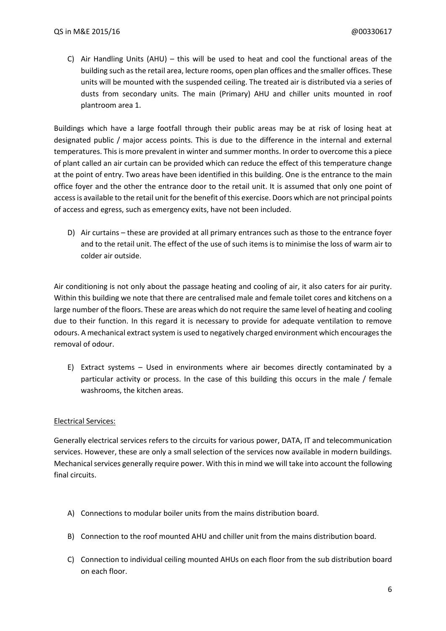C) Air Handling Units (AHU) – this will be used to heat and cool the functional areas of the building such as the retail area, lecture rooms, open plan offices and the smaller offices. These units will be mounted with the suspended ceiling. The treated air is distributed via a series of dusts from secondary units. The main (Primary) AHU and chiller units mounted in roof plantroom area 1.

Buildings which have a large footfall through their public areas may be at risk of losing heat at designated public / major access points. This is due to the difference in the internal and external temperatures. This is more prevalent in winter and summer months. In order to overcome this a piece of plant called an air curtain can be provided which can reduce the effect of this temperature change at the point of entry. Two areas have been identified in this building. One is the entrance to the main office foyer and the other the entrance door to the retail unit. It is assumed that only one point of access is available to the retail unit for the benefit of this exercise. Doors which are not principal points of access and egress, such as emergency exits, have not been included.

D) Air curtains – these are provided at all primary entrances such as those to the entrance foyer and to the retail unit. The effect of the use of such items is to minimise the loss of warm air to colder air outside.

Air conditioning is not only about the passage heating and cooling of air, it also caters for air purity. Within this building we note that there are centralised male and female toilet cores and kitchens on a large number of the floors. These are areas which do not require the same level of heating and cooling due to their function. In this regard it is necessary to provide for adequate ventilation to remove odours. A mechanical extract system is used to negatively charged environment which encourages the removal of odour.

E) Extract systems – Used in environments where air becomes directly contaminated by a particular activity or process. In the case of this building this occurs in the male / female washrooms, the kitchen areas.

## Electrical Services:

Generally electrical services refers to the circuits for various power, DATA, IT and telecommunication services. However, these are only a small selection of the services now available in modern buildings. Mechanical services generally require power. With this in mind we will take into account the following final circuits.

- A) Connections to modular boiler units from the mains distribution board.
- B) Connection to the roof mounted AHU and chiller unit from the mains distribution board.
- C) Connection to individual ceiling mounted AHUs on each floor from the sub distribution board on each floor.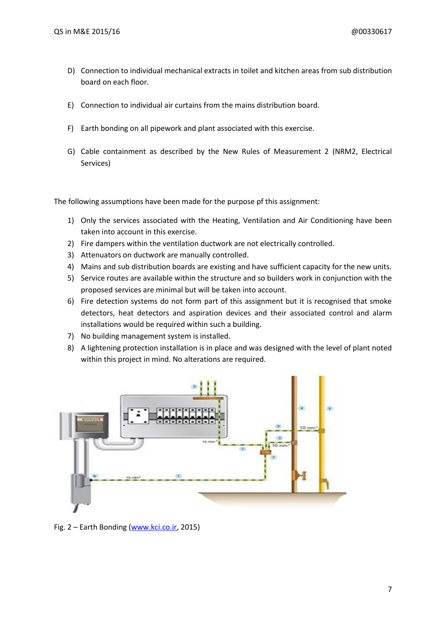- D) Connection to individual mechanical extracts in toilet and kitchen areas from sub distribution board on each floor.
- E) Connection to individual air curtains from the mains distribution board.
- F) Earth bonding on all pipework and plant associated with this exercise.
- G) Cable containment as described by the New Rules of Measurement 2 (NRM2, Electrical Services)

The following assumptions have been made for the purpose pf this assignment:

- 1) Only the services associated with the Heating, Ventilation and Air Conditioning have been taken into account in this exercise.
- 2) Fire dampers within the ventilation ductwork are not electrically controlled.
- 3) Attenuators on ductwork are manually controlled.
- 4) Mains and sub distribution boards are existing and have sufficient capacity for the new units.
- 5) Service routes are available within the structure and so builders work in conjunction with the proposed services are minimal but will be taken into account.
- 6) Fire detection systems do not form part of this assignment but it is recognised that smoke detectors, heat detectors and aspiration devices and their associated control and alarm installations would be required within such a building.
- 7) No building management system is installed.
- 8) A lightening protection installation is in place and was designed with the level of plant noted within this project in mind. No alterations are required.



Fig. 2 – Earth Bonding [\(www.kci.co.ir,](http://www.kci.co.ir/) 2015)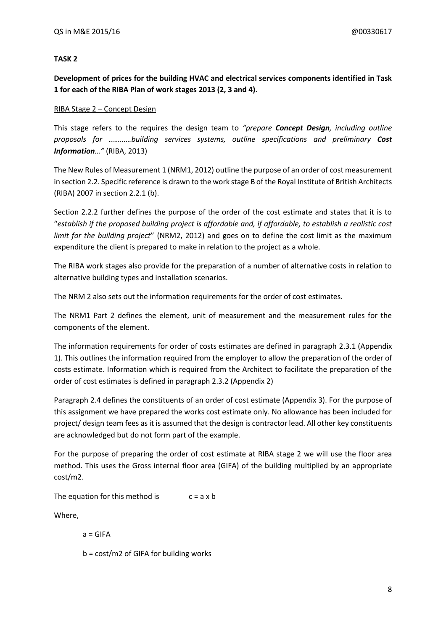### **TASK 2**

**Development of prices for the building HVAC and electrical services components identified in Task 1 for each of the RIBA Plan of work stages 2013 (2, 3 and 4).**

### RIBA Stage 2 – Concept Design

This stage refers to the requires the design team to *"prepare Concept Design, including outline proposals for …………building services systems, outline specifications and preliminary Cost Information…"* (RIBA, 2013)

The New Rules of Measurement 1 (NRM1, 2012) outline the purpose of an order of cost measurement in section 2.2. Specific reference is drawn to the work stage B of the Royal Institute of British Architects (RIBA) 2007 in section 2.2.1 (b).

Section 2.2.2 further defines the purpose of the order of the cost estimate and states that it is to "*establish if the proposed building project is affordable and, if affordable, to establish a realistic cost limit for the building project*" (NRM2, 2012) and goes on to define the cost limit as the maximum expenditure the client is prepared to make in relation to the project as a whole.

The RIBA work stages also provide for the preparation of a number of alternative costs in relation to alternative building types and installation scenarios.

The NRM 2 also sets out the information requirements for the order of cost estimates.

The NRM1 Part 2 defines the element, unit of measurement and the measurement rules for the components of the element.

The information requirements for order of costs estimates are defined in paragraph 2.3.1 (Appendix 1). This outlines the information required from the employer to allow the preparation of the order of costs estimate. Information which is required from the Architect to facilitate the preparation of the order of cost estimates is defined in paragraph 2.3.2 (Appendix 2)

Paragraph 2.4 defines the constituents of an order of cost estimate (Appendix 3). For the purpose of this assignment we have prepared the works cost estimate only. No allowance has been included for project/ design team fees as it is assumed that the design is contractor lead. All other key constituents are acknowledged but do not form part of the example.

For the purpose of preparing the order of cost estimate at RIBA stage 2 we will use the floor area method. This uses the Gross internal floor area (GIFA) of the building multiplied by an appropriate cost/m2.

The equation for this method is  $c = a \times b$ 

Where,

 $a = GIFA$ 

b = cost/m2 of GIFA for building works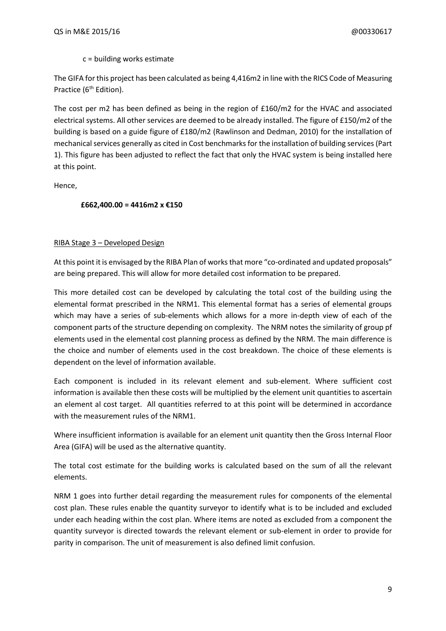c = building works estimate

The GIFA for this project has been calculated as being 4,416m2 in line with the RICS Code of Measuring Practice (6<sup>th</sup> Edition).

The cost per m2 has been defined as being in the region of £160/m2 for the HVAC and associated electrical systems. All other services are deemed to be already installed. The figure of £150/m2 of the building is based on a guide figure of £180/m2 (Rawlinson and Dedman, 2010) for the installation of mechanical services generally as cited in Cost benchmarks for the installation of building services (Part 1). This figure has been adjusted to reflect the fact that only the HVAC system is being installed here at this point.

Hence,

## **£662,400.00 = 4416m2 x €150**

## RIBA Stage 3 – Developed Design

At this point it is envisaged by the RIBA Plan of works that more "co-ordinated and updated proposals" are being prepared. This will allow for more detailed cost information to be prepared.

This more detailed cost can be developed by calculating the total cost of the building using the elemental format prescribed in the NRM1. This elemental format has a series of elemental groups which may have a series of sub-elements which allows for a more in-depth view of each of the component parts of the structure depending on complexity. The NRM notes the similarity of group pf elements used in the elemental cost planning process as defined by the NRM. The main difference is the choice and number of elements used in the cost breakdown. The choice of these elements is dependent on the level of information available.

Each component is included in its relevant element and sub-element. Where sufficient cost information is available then these costs will be multiplied by the element unit quantities to ascertain an element al cost target. All quantities referred to at this point will be determined in accordance with the measurement rules of the NRM1.

Where insufficient information is available for an element unit quantity then the Gross Internal Floor Area (GIFA) will be used as the alternative quantity.

The total cost estimate for the building works is calculated based on the sum of all the relevant elements.

NRM 1 goes into further detail regarding the measurement rules for components of the elemental cost plan. These rules enable the quantity surveyor to identify what is to be included and excluded under each heading within the cost plan. Where items are noted as excluded from a component the quantity surveyor is directed towards the relevant element or sub-element in order to provide for parity in comparison. The unit of measurement is also defined limit confusion.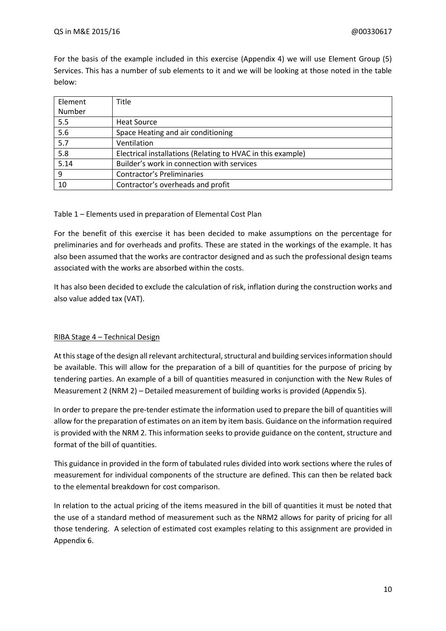For the basis of the example included in this exercise (Appendix 4) we will use Element Group (5) Services. This has a number of sub elements to it and we will be looking at those noted in the table below:

| Element | Title                                                       |
|---------|-------------------------------------------------------------|
| Number  |                                                             |
| 5.5     | <b>Heat Source</b>                                          |
| 5.6     | Space Heating and air conditioning                          |
| 5.7     | Ventilation                                                 |
| 5.8     | Electrical installations (Relating to HVAC in this example) |
| 5.14    | Builder's work in connection with services                  |
| 9       | <b>Contractor's Preliminaries</b>                           |
| 10      | Contractor's overheads and profit                           |

## Table 1 – Elements used in preparation of Elemental Cost Plan

For the benefit of this exercise it has been decided to make assumptions on the percentage for preliminaries and for overheads and profits. These are stated in the workings of the example. It has also been assumed that the works are contractor designed and as such the professional design teams associated with the works are absorbed within the costs.

It has also been decided to exclude the calculation of risk, inflation during the construction works and also value added tax (VAT).

### RIBA Stage 4 – Technical Design

At this stage of the design all relevant architectural, structural and building services information should be available. This will allow for the preparation of a bill of quantities for the purpose of pricing by tendering parties. An example of a bill of quantities measured in conjunction with the New Rules of Measurement 2 (NRM 2) – Detailed measurement of building works is provided (Appendix 5).

In order to prepare the pre-tender estimate the information used to prepare the bill of quantities will allow for the preparation of estimates on an item by item basis. Guidance on the information required is provided with the NRM 2. This information seeks to provide guidance on the content, structure and format of the bill of quantities.

This guidance in provided in the form of tabulated rules divided into work sections where the rules of measurement for individual components of the structure are defined. This can then be related back to the elemental breakdown for cost comparison.

In relation to the actual pricing of the items measured in the bill of quantities it must be noted that the use of a standard method of measurement such as the NRM2 allows for parity of pricing for all those tendering. A selection of estimated cost examples relating to this assignment are provided in Appendix 6.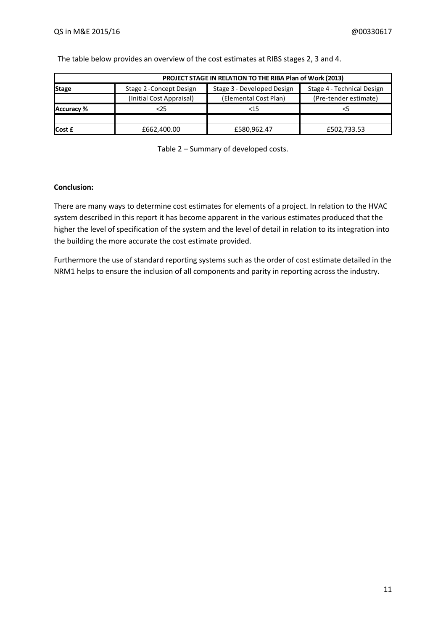|                   | <b>PROJECT STAGE IN RELATION TO THE RIBA Plan of Work (2013)</b> |                                                |                            |  |  |  |  |
|-------------------|------------------------------------------------------------------|------------------------------------------------|----------------------------|--|--|--|--|
| <b>Stage</b>      | Stage 2-Concept Design                                           | Stage 3 - Developed Design                     | Stage 4 - Technical Design |  |  |  |  |
|                   | (Initial Cost Appraisal)                                         | (Elemental Cost Plan)<br>(Pre-tender estimate) |                            |  |  |  |  |
| <b>Accuracy %</b> | <25                                                              | <15                                            | <5                         |  |  |  |  |
|                   |                                                                  |                                                |                            |  |  |  |  |
| lCost £           | £662,400.00<br>£580,962.47                                       |                                                | £502,733.53                |  |  |  |  |

The table below provides an overview of the cost estimates at RIBS stages 2, 3 and 4.

Table 2 – Summary of developed costs.

## **Conclusion:**

There are many ways to determine cost estimates for elements of a project. In relation to the HVAC system described in this report it has become apparent in the various estimates produced that the higher the level of specification of the system and the level of detail in relation to its integration into the building the more accurate the cost estimate provided.

Furthermore the use of standard reporting systems such as the order of cost estimate detailed in the NRM1 helps to ensure the inclusion of all components and parity in reporting across the industry.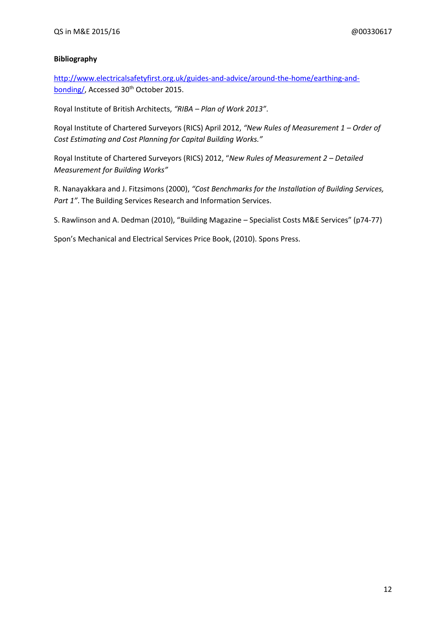## **Bibliography**

[http://www.electricalsafetyfirst.org.uk/guides-and-advice/around-the-home/earthing-and](http://www.electricalsafetyfirst.org.uk/guides-and-advice/around-the-home/earthing-and-bonding/)[bonding/,](http://www.electricalsafetyfirst.org.uk/guides-and-advice/around-the-home/earthing-and-bonding/) Accessed 30<sup>th</sup> October 2015.

Royal Institute of British Architects, *"RIBA – Plan of Work 2013"*.

Royal Institute of Chartered Surveyors (RICS) April 2012, *"New Rules of Measurement 1 – Order of Cost Estimating and Cost Planning for Capital Building Works."*

Royal Institute of Chartered Surveyors (RICS) 2012, "*New Rules of Measurement 2 – Detailed Measurement for Building Works"*

R. Nanayakkara and J. Fitzsimons (2000), *"Cost Benchmarks for the Installation of Building Services, Part 1"*. The Building Services Research and Information Services.

S. Rawlinson and A. Dedman (2010), "Building Magazine – Specialist Costs M&E Services" (p74-77)

Spon's Mechanical and Electrical Services Price Book, (2010). Spons Press.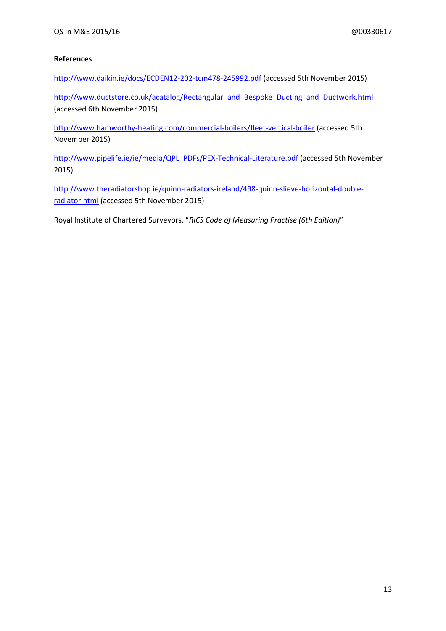## **References**

<http://www.daikin.ie/docs/ECDEN12-202-tcm478-245992.pdf> (accessed 5th November 2015)

[http://www.ductstore.co.uk/acatalog/Rectangular\\_and\\_Bespoke\\_Ducting\\_and\\_Ductwork.html](http://www.ductstore.co.uk/acatalog/Rectangular_and_Bespoke_Ducting_and_Ductwork.html) (accessed 6th November 2015)

<http://www.hamworthy-heating.com/commercial-boilers/fleet-vertical-boiler> (accessed 5th November 2015)

[http://www.pipelife.ie/ie/media/QPL\\_PDFs/PEX-Technical-Literature.pdf](http://www.pipelife.ie/ie/media/QPL_PDFs/PEX-Technical-Literature.pdf) (accessed 5th November 2015)

[http://www.theradiatorshop.ie/quinn-radiators-ireland/498-quinn-slieve-horizontal-double](http://www.theradiatorshop.ie/quinn-radiators-ireland/498-quinn-slieve-horizontal-double-radiator.html)[radiator.html](http://www.theradiatorshop.ie/quinn-radiators-ireland/498-quinn-slieve-horizontal-double-radiator.html) (accessed 5th November 2015)

Royal Institute of Chartered Surveyors, "*RICS Code of Measuring Practise (6th Edition)*"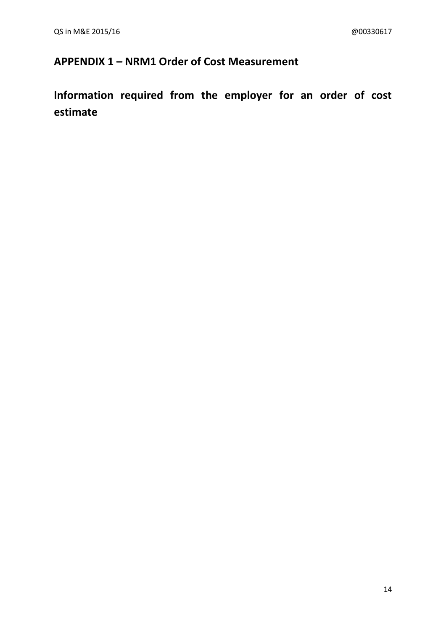## **APPENDIX 1 – NRM1 Order of Cost Measurement**

**Information required from the employer for an order of cost estimate**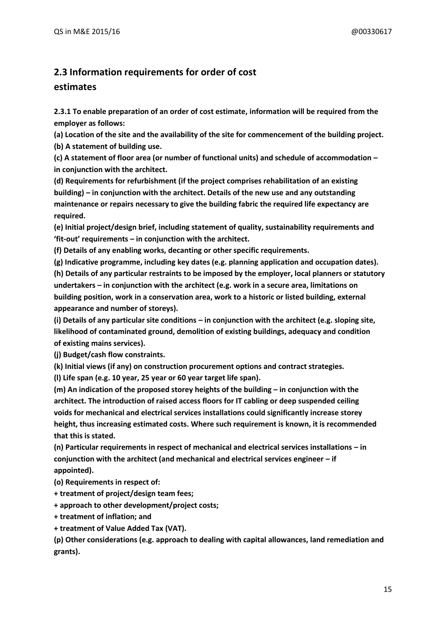## **2.3 Information requirements for order of cost**

## **estimates**

**2.3.1 To enable preparation of an order of cost estimate, information will be required from the employer as follows:**

**(a) Location of the site and the availability of the site for commencement of the building project. (b) A statement of building use.**

**(c) A statement of floor area (or number of functional units) and schedule of accommodation – in conjunction with the architect.**

**(d) Requirements for refurbishment (if the project comprises rehabilitation of an existing building) – in conjunction with the architect. Details of the new use and any outstanding maintenance or repairs necessary to give the building fabric the required life expectancy are required.**

**(e) Initial project/design brief, including statement of quality, sustainability requirements and 'fit-out' requirements – in conjunction with the architect.**

**(f) Details of any enabling works, decanting or other specific requirements.**

**(g) Indicative programme, including key dates (e.g. planning application and occupation dates).**

**(h) Details of any particular restraints to be imposed by the employer, local planners or statutory undertakers – in conjunction with the architect (e.g. work in a secure area, limitations on building position, work in a conservation area, work to a historic or listed building, external appearance and number of storeys).**

**(i) Details of any particular site conditions – in conjunction with the architect (e.g. sloping site, likelihood of contaminated ground, demolition of existing buildings, adequacy and condition of existing mains services).**

**(j) Budget/cash flow constraints.**

**(k) Initial views (if any) on construction procurement options and contract strategies.**

**(l) Life span (e.g. 10 year, 25 year or 60 year target life span).**

**(m) An indication of the proposed storey heights of the building – in conjunction with the architect. The introduction of raised access floors for IT cabling or deep suspended ceiling voids for mechanical and electrical services installations could significantly increase storey height, thus increasing estimated costs. Where such requirement is known, it is recommended that this is stated.**

**(n) Particular requirements in respect of mechanical and electrical services installations – in conjunction with the architect (and mechanical and electrical services engineer – if appointed).**

**(o) Requirements in respect of:**

**+ treatment of project/design team fees;**

**+ approach to other development/project costs;**

- **+ treatment of inflation; and**
- **+ treatment of Value Added Tax (VAT).**

**(p) Other considerations (e.g. approach to dealing with capital allowances, land remediation and grants).**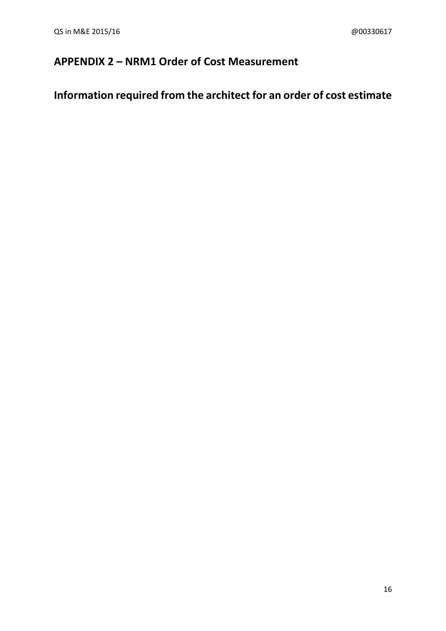## **APPENDIX 2 – NRM1 Order of Cost Measurement**

## **Information required from the architect for an order of cost estimate**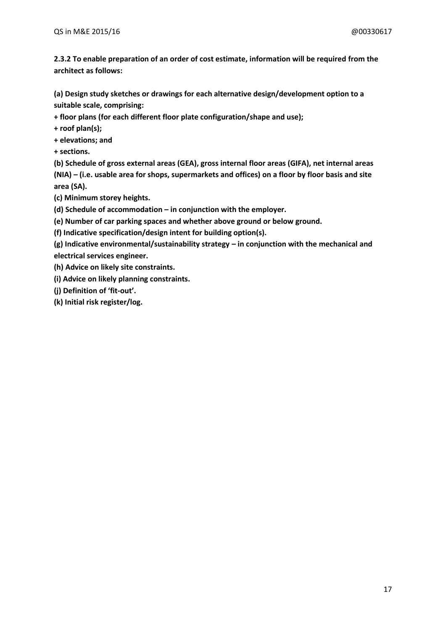**2.3.2 To enable preparation of an order of cost estimate, information will be required from the architect as follows:**

**(a) Design study sketches or drawings for each alternative design/development option to a suitable scale, comprising:**

**+ floor plans (for each different floor plate configuration/shape and use);**

**+ roof plan(s);**

**+ elevations; and**

**+ sections.**

**(b) Schedule of gross external areas (GEA), gross internal floor areas (GIFA), net internal areas (NIA) – (i.e. usable area for shops, supermarkets and offices) on a floor by floor basis and site area (SA).**

**(c) Minimum storey heights.**

**(d) Schedule of accommodation – in conjunction with the employer.**

**(e) Number of car parking spaces and whether above ground or below ground.**

**(f) Indicative specification/design intent for building option(s).**

**(g) Indicative environmental/sustainability strategy – in conjunction with the mechanical and electrical services engineer.**

**(h) Advice on likely site constraints.**

**(i) Advice on likely planning constraints.**

**(j) Definition of 'fit-out'.**

**(k) Initial risk register/log.**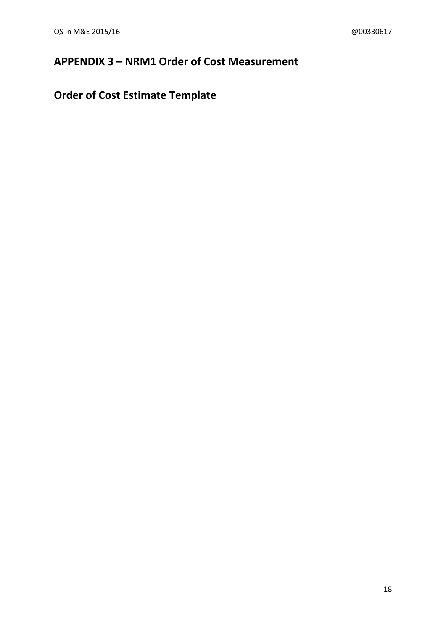## **APPENDIX 3 – NRM1 Order of Cost Measurement**

## **Order of Cost Estimate Template**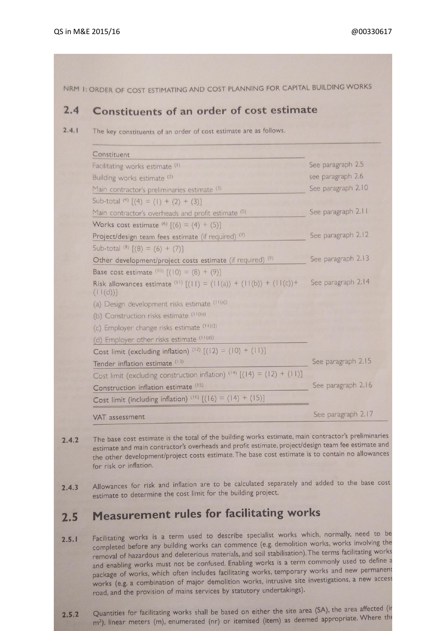NRM I: ORDER OF COST ESTIMATING AND COST PLANNING FOR CAPITAL BUILDING WORKS

#### Constituents of an order of cost estimate  $2.4$

 $2.4.1$ The key constituents of an order of cost estimate are as follows.

| Constituent                                                                          |                    |
|--------------------------------------------------------------------------------------|--------------------|
| Facilitating works estimate (1)                                                      | See paragraph 2.5  |
| Building works estimate (2)                                                          | see paragraph 2.6  |
| Main contractor's preliminaries estimate (3)                                         | See paragraph 2.10 |
| Sub-total (4) $[(4) = (1) + (2) + (3)]$                                              |                    |
| Main contractor's overheads and profit estimate (5)                                  | See paragraph 2.11 |
| Works cost estimate (6) $[(6) = (4) + (5)]$                                          |                    |
| Project/design team fees estimate (if required) $(7)$                                | See paragraph 2.12 |
| Sub-total $(8)$ $(8) = (6) + (7)$ ]                                                  |                    |
| Other development/project costs estimate (if required) <sup>(9)</sup>                | See paragraph 2.13 |
| Base cost estimate $(10)$ $[(10) = (8) + (9)]$                                       |                    |
| Risk allowances estimate (11) $[(11) = (11(a)) + (11(b)) + (11(c)) +$<br>(11(d))]    | See paragraph 2.14 |
| (a) Design development risks estimate (11(a))                                        |                    |
| (b) Construction risks estimate (11(b))                                              |                    |
| (c) Employer change risks estimate (11(c))                                           |                    |
| (d) Employer other risks estimate (11(d))                                            |                    |
| Cost limit (excluding inflation) $(12)$ $[(12) = (10) + (11)]$                       |                    |
| Tender inflation estimate (13)                                                       | See paragraph 2.15 |
| Cost limit (excluding construction inflation) <sup>(14)</sup> $[(14) = (12) + (11)]$ |                    |
| Construction inflation estimate (15)                                                 | See paragraph 2.16 |
| Cost limit (including inflation) (16) $[(16) = (14) + (15)]$                         |                    |
| VAT assessment                                                                       | See paragraph 2.17 |

- The base cost estimate is the total of the building works estimate, main contractor's preliminaries  $2.4.2$ estimate and main contractor's overheads and profit estimate, project/design team fee estimate and the other development/project costs estimate. The base cost estimate is to contain no allowances for risk or inflation.
- Allowances for risk and inflation are to be calculated separately and added to the base cost  $2.4.3$ estimate to determine the cost limit for the building project.

#### **Measurement rules for facilitating works**  $2.5$

- Facilitating works is a term used to describe specialist works which, normally, need to be  $2.5.1$ completed before any building works can commence (e.g. demolition works, works involving the removal of hazardous and deleterious materials, and soil stabilisation). The terms facilitating works and enabling works must not be confused. Enabling works is a term commonly used to define a package of works, which often includes facilitating works, temporary works and new permanent works (e.g. a combination of major demolition works, intrusive site investigations, a new access road, and the provision of mains services by statutory undertakings).
- Quantities for facilitating works shall be based on either the site area (SA), the area affected (in  $2.5.2$ Quantities for facilitating works shall be based on either the site and  $\left(\frac{m}{2}\right)$ ,  $m^2$ ), linear meters (m), enumerated (nr) or itemised (item) as deemed appropriate. Where the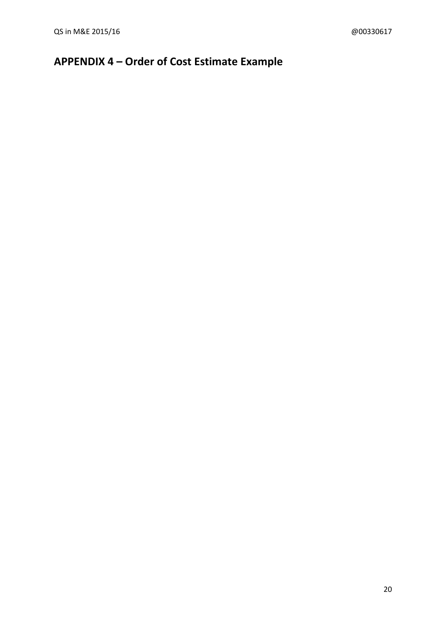## **APPENDIX 4 – Order of Cost Estimate Example**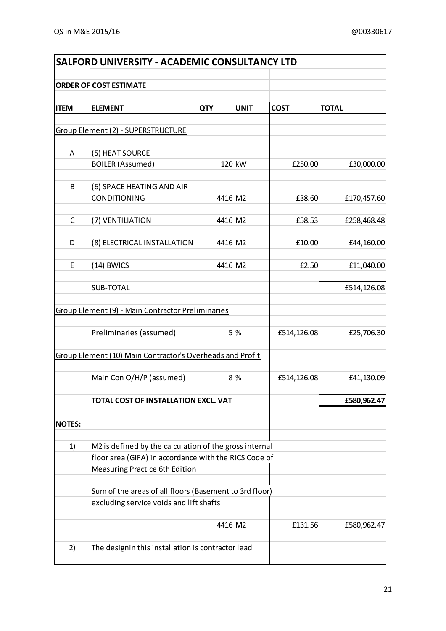|               | SALFORD UNIVERSITY - ACADEMIC CONSULTANCY LTD             |            |                |             |              |
|---------------|-----------------------------------------------------------|------------|----------------|-------------|--------------|
|               | <b>ORDER OF COST ESTIMATE</b>                             |            |                |             |              |
| <b>ITEM</b>   | <b>ELEMENT</b>                                            | <b>QTY</b> | <b>UNIT</b>    | <b>COST</b> | <b>TOTAL</b> |
|               |                                                           |            |                |             |              |
|               | <b>Group Element (2) - SUPERSTRUCTURE</b>                 |            |                |             |              |
| A             | (5) HEAT SOURCE                                           |            |                |             |              |
|               | <b>BOILER (Assumed)</b>                                   |            | 120 kW         | £250.00     | £30,000.00   |
|               |                                                           |            |                |             |              |
| B             | (6) SPACE HEATING AND AIR                                 |            |                |             |              |
|               | <b>CONDITIONING</b>                                       | 4416 M2    |                | £38.60      | £170,457.60  |
| $\mathsf{C}$  | (7) VENTILIATION                                          | 4416 M2    |                | £58.53      | £258,468.48  |
| D             | (8) ELECTRICAL INSTALLATION                               | 4416 M2    |                | £10.00      | £44,160.00   |
| E             | (14) BWICS                                                | 4416 M2    |                | £2.50       | £11,040.00   |
|               | <b>SUB-TOTAL</b>                                          |            |                |             | £514,126.08  |
|               | Group Element (9) - Main Contractor Preliminaries         |            |                |             |              |
|               | Preliminaries (assumed)                                   |            | $5\frac{8}{6}$ | £514,126.08 | £25,706.30   |
|               | Group Element (10) Main Contractor's Overheads and Profit |            |                |             |              |
|               | Main Con O/H/P (assumed)                                  |            | $8\frac{8}{6}$ | £514,126.08 | £41,130.09   |
|               | TOTAL COST OF INSTALLATION EXCL. VAT                      |            |                |             | £580,962.47  |
| <b>NOTES:</b> |                                                           |            |                |             |              |
|               |                                                           |            |                |             |              |
| 1)            | M2 is defined by the calculation of the gross internal    |            |                |             |              |
|               | floor area (GIFA) in accordance with the RICS Code of     |            |                |             |              |
|               | Measuring Practice 6th Edition                            |            |                |             |              |
|               | Sum of the areas of all floors (Basement to 3rd floor)    |            |                |             |              |
|               | excluding service voids and lift shafts                   |            |                |             |              |
|               |                                                           |            |                |             |              |
|               |                                                           | 4416 M2    |                | £131.56     | £580,962.47  |
| 2)            | The designin this installation is contractor lead         |            |                |             |              |
|               |                                                           |            |                |             |              |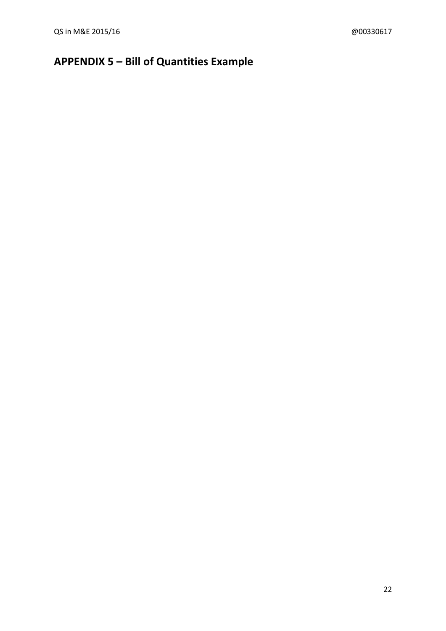## **APPENDIX 5 – Bill of Quantities Example**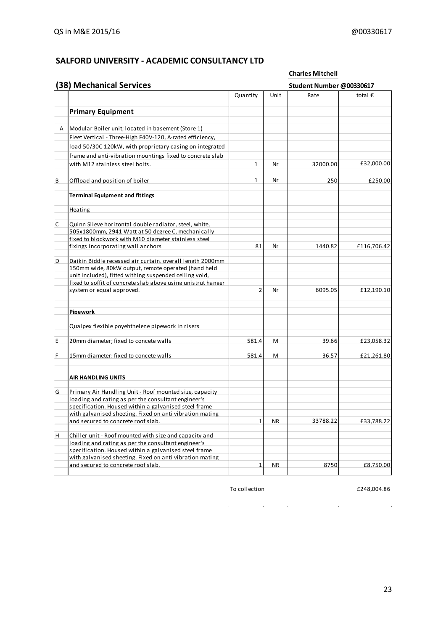$\alpha = 1/2$ 

## **SALFORD UNIVERSITY - ACADEMIC CONSULTANCY LTD**

#### **Charles Mitchell**

## **(38) Mechanical Services Student Number @00330617**

|    |                                                                                                              | Quantity       | Unit      | Rate     | total €     |
|----|--------------------------------------------------------------------------------------------------------------|----------------|-----------|----------|-------------|
|    |                                                                                                              |                |           |          |             |
|    | <b>Primary Equipment</b>                                                                                     |                |           |          |             |
| A  | Modular Boiler unit; located in basement (Store 1)                                                           |                |           |          |             |
|    | Fleet Vertical - Three-High F40V-120, A-rated efficiency,                                                    |                |           |          |             |
|    | load 50/30C 120kW, with proprietary casing on integrated                                                     |                |           |          |             |
|    |                                                                                                              |                |           |          |             |
|    | frame and anti-vibration mountings fixed to concrete slab                                                    |                |           |          |             |
|    | with M12 stainless steel bolts.                                                                              | $\mathbf{1}$   | Nr        | 32000.00 | £32,000.00  |
| B  | Offload and position of boiler                                                                               | $\mathbf{1}$   | Nr        | 250      | £250.00     |
|    | <b>Terminal Equipment and fittings</b>                                                                       |                |           |          |             |
|    | Heating                                                                                                      |                |           |          |             |
| C  |                                                                                                              |                |           |          |             |
|    | Quinn Slieve horizontal double radiator, steel, white,<br>505x1800mm, 2941 Watt at 50 degree C, mechanically |                |           |          |             |
|    | fixed to blockwork with M10 diameter stainless steel                                                         |                |           |          |             |
|    | fixings incorporating wall anchors                                                                           | 81             | Nr        | 1440.82  | £116,706.42 |
| D  | Daikin Biddle recessed air curtain, overall length 2000mm                                                    |                |           |          |             |
|    | 150mm wide, 80kW output, remote operated (hand held                                                          |                |           |          |             |
|    | unit included), fitted withing suspended ceiling void,                                                       |                |           |          |             |
|    | fixed to soffit of concrete slab above using unistrut hanger                                                 |                |           |          |             |
|    | system or equal approved.                                                                                    | $\overline{2}$ | Nr        | 6095.05  | £12,190.10  |
|    | Pipework                                                                                                     |                |           |          |             |
|    | Qualpex flexible poyehthelene pipework in risers                                                             |                |           |          |             |
| Ė  | 20mm diameter; fixed to concete walls                                                                        | 581.4          | M         | 39.66    | £23,058.32  |
| F  | 15mm diameter; fixed to concete walls                                                                        | 581.4          | M         | 36.57    | £21,261.80  |
|    | AIR HANDLING UNITS                                                                                           |                |           |          |             |
|    |                                                                                                              |                |           |          |             |
| G  | Primary Air Handling Unit - Roof mounted size, capacity                                                      |                |           |          |             |
|    | loading and rating as per the consultant engineer's                                                          |                |           |          |             |
|    | specification. Housed within a galvanised steel frame                                                        |                |           |          |             |
|    | with galvanised sheeting. Fixed on anti vibration mating<br>and secured to concrete roof slab.               | $\mathbf{1}$   |           | 33788.22 |             |
|    |                                                                                                              |                | <b>NR</b> |          | £33.788.22  |
| H. | Chiller unit - Roof mounted with size and capacity and                                                       |                |           |          |             |
|    | loading and rating as per the consultant engineer's                                                          |                |           |          |             |
|    | specification. Housed within a galvanised steel frame                                                        |                |           |          |             |
|    | with galvanised sheeting. Fixed on anti vibration mating                                                     |                |           |          |             |
|    | and secured to concrete roof slab.                                                                           | $\mathbf{1}$   | <b>NR</b> | 8750     | £8,750.00   |
|    |                                                                                                              |                |           |          |             |

To collection **E248,004.86** 

 $\mathcal{L}^{\text{max}}(\mathcal{L}^{\text{max}})$  , where  $\mathcal{L}^{\text{max}}$ 

 $\sim 10^{11}$ 

 $\mathcal{A}^{\pm}$ 

23

 $\bar{\alpha}$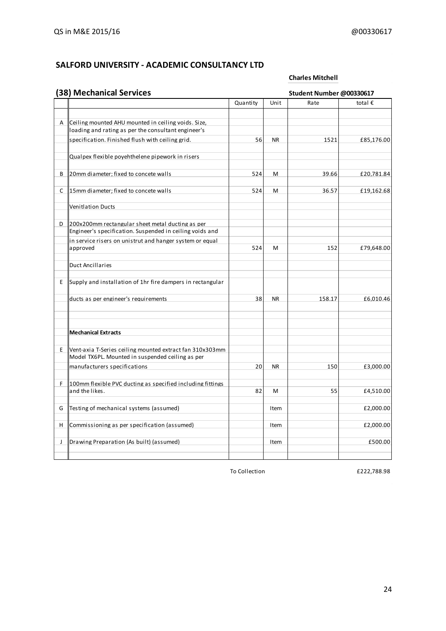## **SALFORD UNIVERSITY - ACADEMIC CONSULTANCY LTD**

**Charles Mitchell**

|    | (38) Mechanical Services                                                                                     | Student Number @00330617 |           |        |            |
|----|--------------------------------------------------------------------------------------------------------------|--------------------------|-----------|--------|------------|
|    |                                                                                                              | Quantity                 | Unit      | Rate   | total €    |
|    |                                                                                                              |                          |           |        |            |
| A  | Ceiling mounted AHU mounted in ceiling voids. Size,                                                          |                          |           |        |            |
|    | loading and rating as per the consultant engineer's                                                          |                          |           |        |            |
|    | specification. Finished flush with ceiling grid.                                                             | 56                       | <b>NR</b> | 1521   | £85,176.00 |
|    | Qualpex flexible poyehthelene pipework in risers                                                             |                          |           |        |            |
| В  | 20mm diameter; fixed to concete walls                                                                        | 524                      | M         | 39.66  | £20,781.84 |
| C  | 15mm diameter; fixed to concete walls                                                                        | 524                      | м         | 36.57  | £19,162.68 |
|    | <b>Venitlation Ducts</b>                                                                                     |                          |           |        |            |
| D  | 200x200mm rectangular sheet metal ducting as per                                                             |                          |           |        |            |
|    | Engineer's specification. Suspended in ceiling voids and                                                     |                          |           |        |            |
|    | in service risers on unistrut and hanger system or equal<br>approved                                         | 524                      | м         | 152    | £79,648.00 |
|    | <b>Duct Ancillaries</b>                                                                                      |                          |           |        |            |
|    |                                                                                                              |                          |           |        |            |
| E  | Supply and installation of 1hr fire dampers in rectangular                                                   |                          |           |        |            |
|    | ducts as per engineer's requirements                                                                         | 38                       | NR.       | 158.17 | £6,010.46  |
|    | <b>Mechanical Extracts</b>                                                                                   |                          |           |        |            |
| E  | Vent-axia T-Series ceiling mounted extract fan 310x303mm<br>Model TX6PL. Mounted in suspended ceiling as per |                          |           |        |            |
|    | manufacturers specifications                                                                                 | 20                       | <b>NR</b> | 150    | £3,000.00  |
| F. | 100mm flexible PVC ducting as specified including fittings<br>and the likes.                                 | 82                       | M         | 55     | £4,510.00  |
| G  | Testing of mechanical systems (assumed)                                                                      |                          | Item      |        | £2,000.00  |
| H. | Commissioning as per specification (assumed)                                                                 |                          | Item      |        | £2,000.00  |
| J  | Drawing Preparation (As built) (assumed)                                                                     |                          | Item      |        | £500.00    |
|    |                                                                                                              |                          |           |        |            |

To Collection **E222,788.98**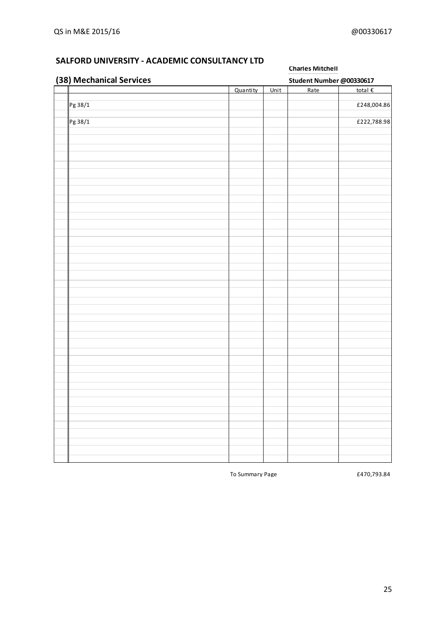## **SALFORD UNIVERSITY - ACADEMIC CONSULTANCY LTD**

### **Charles Mitchell**

| (38) Mechanical Services<br>Student Number @00330617 |          |      |      |                  |
|------------------------------------------------------|----------|------|------|------------------|
|                                                      | Quantity | Unit | Rate | total $\epsilon$ |
| Pg 38/1                                              |          |      |      | £248,004.86      |
|                                                      |          |      |      |                  |
| Pg 38/1                                              |          |      |      | £222,788.98      |
|                                                      |          |      |      |                  |
|                                                      |          |      |      |                  |
|                                                      |          |      |      |                  |
|                                                      |          |      |      |                  |
|                                                      |          |      |      |                  |
|                                                      |          |      |      |                  |
|                                                      |          |      |      |                  |
|                                                      |          |      |      |                  |
|                                                      |          |      |      |                  |
|                                                      |          |      |      |                  |
|                                                      |          |      |      |                  |
|                                                      |          |      |      |                  |
|                                                      |          |      |      |                  |
|                                                      |          |      |      |                  |
|                                                      |          |      |      |                  |
|                                                      |          |      |      |                  |
|                                                      |          |      |      |                  |
|                                                      |          |      |      |                  |
|                                                      |          |      |      |                  |
|                                                      |          |      |      |                  |
|                                                      |          |      |      |                  |
|                                                      |          |      |      |                  |
|                                                      |          |      |      |                  |
|                                                      |          |      |      |                  |
|                                                      |          |      |      |                  |
|                                                      |          |      |      |                  |
|                                                      |          |      |      |                  |
|                                                      |          |      |      |                  |
|                                                      |          |      |      |                  |
|                                                      |          |      |      |                  |
|                                                      |          |      |      |                  |
|                                                      |          |      |      |                  |
|                                                      |          |      |      |                  |
|                                                      |          |      |      |                  |
|                                                      |          |      |      |                  |
|                                                      |          |      |      |                  |
|                                                      |          |      |      |                  |
|                                                      |          |      |      |                  |

To Summary Page **E470,793.84**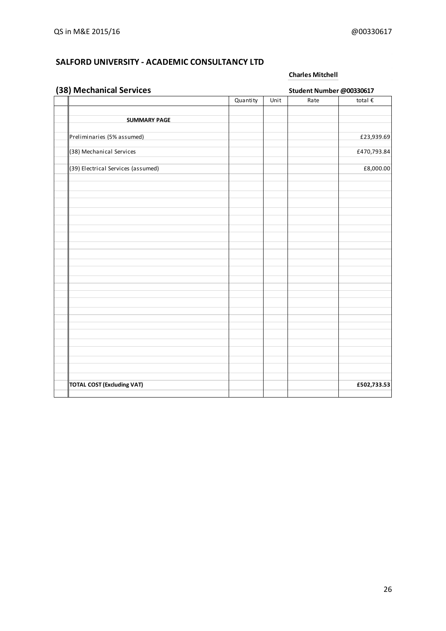## **SALFORD UNIVERSITY - ACADEMIC CONSULTANCY LTD**

**Charles Mitchell**

| (38) Mechanical Services           |          |      | Student Number @00330617 |             |
|------------------------------------|----------|------|--------------------------|-------------|
|                                    | Quantity | Unit | Rate                     | total €     |
| <b>SUMMARY PAGE</b>                |          |      |                          |             |
|                                    |          |      |                          |             |
| Preliminaries (5% assumed)         |          |      |                          | £23,939.69  |
| (38) Mechanical Services           |          |      |                          | £470,793.84 |
| (39) Electrical Services (assumed) |          |      |                          | £8,000.00   |
|                                    |          |      |                          |             |
|                                    |          |      |                          |             |
|                                    |          |      |                          |             |
|                                    |          |      |                          |             |
|                                    |          |      |                          |             |
|                                    |          |      |                          |             |
|                                    |          |      |                          |             |
|                                    |          |      |                          |             |
|                                    |          |      |                          |             |
|                                    |          |      |                          |             |
|                                    |          |      |                          |             |
|                                    |          |      |                          |             |
|                                    |          |      |                          |             |
|                                    |          |      |                          |             |
|                                    |          |      |                          |             |
| <b>TOTAL COST (Excluding VAT)</b>  |          |      |                          | £502,733.53 |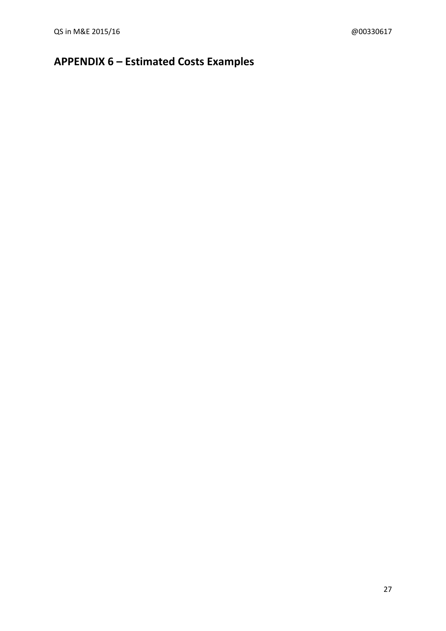## **APPENDIX 6 – Estimated Costs Examples**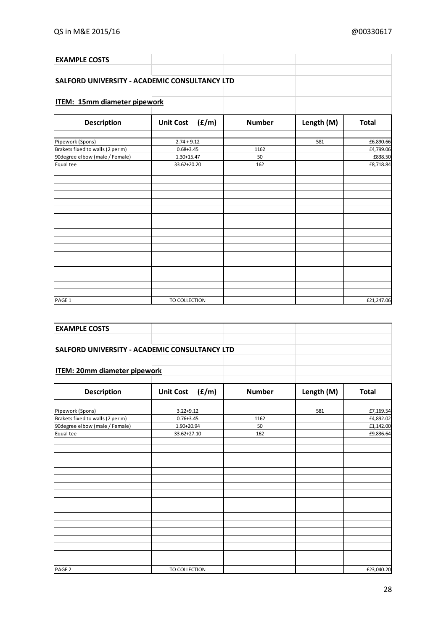| <b>EXAMPLE COSTS</b>                          |                 |               |            |              |
|-----------------------------------------------|-----------------|---------------|------------|--------------|
| SALFORD UNIVERSITY - ACADEMIC CONSULTANCY LTD |                 |               |            |              |
| <b>ITEM: 15mm diameter pipework</b>           |                 |               |            |              |
| <b>Description</b>                            | Unit Cost (£/m) | <b>Number</b> | Length (M) | <b>Total</b> |
| Pipework (Spons)                              | $2.74 + 9.12$   |               | 581        | £6,890.66    |
| Brakets fixed to walls (2 per m)              | $0.68 + 3.45$   | 1162          |            | £4,799.06    |
| 90degree elbow (male / Female)                | $1.30 + 15.47$  | 50            |            | £838.50      |
| Equal tee                                     | 33.62+20.20     | 162           |            | £8,718.84    |
|                                               |                 |               |            |              |
|                                               |                 |               |            |              |
|                                               |                 |               |            |              |
|                                               |                 |               |            |              |
|                                               |                 |               |            |              |
|                                               |                 |               |            |              |
|                                               |                 |               |            |              |
|                                               |                 |               |            |              |
| PAGE 1                                        | TO COLLECTION   |               |            | £21,247.06   |

| <b>EXAMPLE COSTS</b>                          |                 |               |            |              |
|-----------------------------------------------|-----------------|---------------|------------|--------------|
| SALFORD UNIVERSITY - ACADEMIC CONSULTANCY LTD |                 |               |            |              |
| <b>ITEM: 20mm diameter pipework</b>           |                 |               |            |              |
| <b>Description</b>                            | Unit Cost (£/m) | <b>Number</b> | Length (M) | <b>Total</b> |
| Pipework (Spons)                              | $3.22 + 9.12$   |               | 581        | £7,169.54    |
| Brakets fixed to walls (2 per m)              | $0.76 + 3.45$   | 1162          |            | £4,892.02    |
| 90degree elbow (male / Female)                | 1.90+20.94      | 50            |            | £1,142.00    |
| Equal tee                                     | 33.62+27.10     | 162           |            | £9,836.64    |
|                                               |                 |               |            |              |
|                                               |                 |               |            |              |
|                                               |                 |               |            |              |
|                                               |                 |               |            |              |
|                                               |                 |               |            |              |
|                                               |                 |               |            |              |
|                                               |                 |               |            |              |
| PAGE <sub>2</sub>                             | TO COLLECTION   |               |            | £23,040.20   |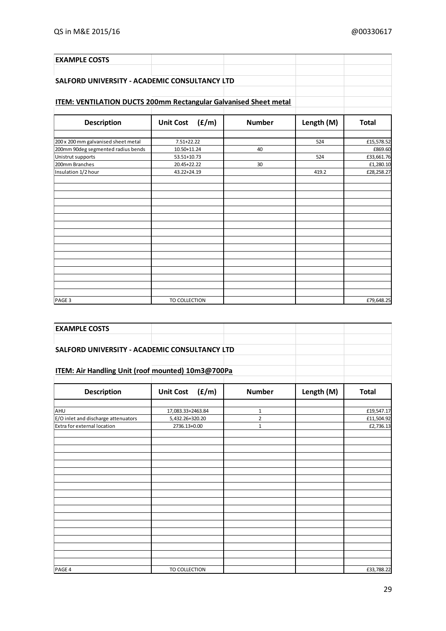| <b>EXAMPLE COSTS</b>                                                    |                  |       |               |            |              |
|-------------------------------------------------------------------------|------------------|-------|---------------|------------|--------------|
| SALFORD UNIVERSITY - ACADEMIC CONSULTANCY LTD                           |                  |       |               |            |              |
| <b>ITEM: VENTILATION DUCTS 200mm Rectangular Galvanised Sheet metal</b> |                  |       |               |            |              |
| <b>Description</b>                                                      | <b>Unit Cost</b> | (f/m) | <b>Number</b> | Length (M) | <b>Total</b> |
| 200 x 200 mm galvanised sheet metal                                     | 7.51+22.22       |       |               | 524        | £15,578.52   |
| 200mm 90deg segmented radius bends                                      | 10.50+11.24      |       | 40            |            | £869.60      |
| Unistrut supports                                                       | 53.51+10.73      |       |               | 524        | £33,661.76   |
| 200mm Branches                                                          | 20.45+22.22      |       | 30            |            | £1,280.10    |
| Insulation 1/2 hour                                                     | 43.22+24.19      |       |               | 419.2      | £28,258.27   |
|                                                                         |                  |       |               |            |              |
|                                                                         |                  |       |               |            |              |
|                                                                         |                  |       |               |            |              |
|                                                                         |                  |       |               |            |              |
|                                                                         |                  |       |               |            |              |
|                                                                         |                  |       |               |            |              |
|                                                                         |                  |       |               |            |              |
|                                                                         |                  |       |               |            |              |
|                                                                         |                  |       |               |            |              |
| PAGE <sub>3</sub>                                                       | TO COLLECTION    |       |               |            | £79,648.25   |

| <b>EXAMPLE COSTS</b>                                                                               |                   |       |                |            |              |
|----------------------------------------------------------------------------------------------------|-------------------|-------|----------------|------------|--------------|
| SALFORD UNIVERSITY - ACADEMIC CONSULTANCY LTD<br>ITEM: Air Handling Unit (roof mounted) 10m3@700Pa |                   |       |                |            |              |
| <b>Description</b>                                                                                 | <b>Unit Cost</b>  | (f/m) | <b>Number</b>  | Length (M) | <b>Total</b> |
| AHU                                                                                                | 17,083.33+2463.84 |       | $\mathbf{1}$   |            | £19,547.17   |
| E/O inlet and discharge attenuators                                                                | 5,432.26+320.20   |       | $\overline{2}$ |            | £11,504.92   |
| Extra for external location                                                                        | 2736.13+0.00      |       | $\mathbf{1}$   |            | £2,736.13    |
|                                                                                                    |                   |       |                |            |              |
|                                                                                                    |                   |       |                |            |              |
|                                                                                                    |                   |       |                |            |              |
|                                                                                                    |                   |       |                |            |              |
| PAGE 4                                                                                             | TO COLLECTION     |       |                |            | £33,788.22   |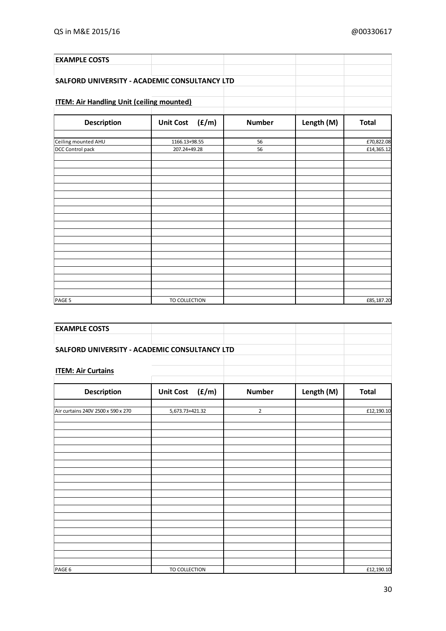| <b>EXAMPLE COSTS</b>                             |                           |               |            |              |
|--------------------------------------------------|---------------------------|---------------|------------|--------------|
| SALFORD UNIVERSITY - ACADEMIC CONSULTANCY LTD    |                           |               |            |              |
| <b>ITEM: Air Handling Unit (ceiling mounted)</b> |                           |               |            |              |
| Description                                      | <b>Unit Cost</b><br>(f/m) | <b>Number</b> | Length (M) | <b>Total</b> |
| Ceiling mounted AHU                              | 1166.13+98.55             | 56            |            | £70,822.08   |
| DCC Control pack                                 | 207.24+49.28              | 56            |            | £14,365.12   |
|                                                  |                           |               |            |              |
|                                                  |                           |               |            |              |
|                                                  |                           |               |            |              |
|                                                  |                           |               |            |              |
|                                                  |                           |               |            |              |
|                                                  |                           |               |            |              |
|                                                  |                           |               |            |              |
|                                                  |                           |               |            |              |
| PAGE 5                                           | TO COLLECTION             |               |            | £85,187.20   |

| <b>EXAMPLE COSTS</b>                          |                 |                |            |              |
|-----------------------------------------------|-----------------|----------------|------------|--------------|
| SALFORD UNIVERSITY - ACADEMIC CONSULTANCY LTD |                 |                |            |              |
| <b>ITEM: Air Curtains</b>                     |                 |                |            |              |
| <b>Description</b>                            | Unit Cost (£/m) | <b>Number</b>  | Length (M) | <b>Total</b> |
| Air curtains 240V 2500 x 590 x 270            | 5,673.73+421.32 | $\overline{2}$ |            | £12,190.10   |
|                                               |                 |                |            |              |
|                                               |                 |                |            |              |
|                                               |                 |                |            |              |
|                                               |                 |                |            |              |
|                                               |                 |                |            |              |
|                                               |                 |                |            |              |
|                                               |                 |                |            |              |
|                                               |                 |                |            |              |
|                                               |                 |                |            |              |
|                                               |                 |                |            |              |
|                                               |                 |                |            |              |
|                                               |                 |                |            |              |
| PAGE 6                                        | TO COLLECTION   |                |            | £12,190.10   |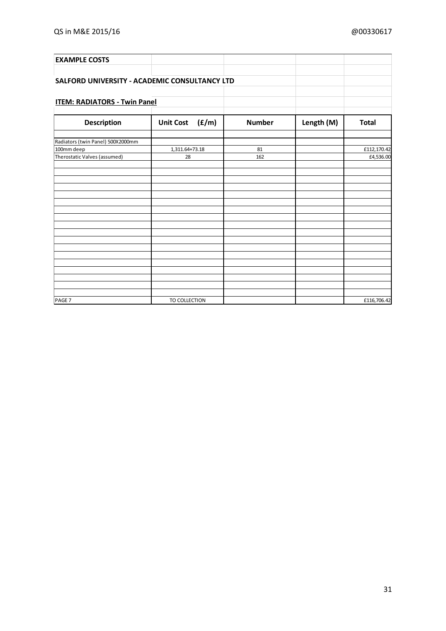| <b>EXAMPLE COSTS</b>                          |                  |       |               |            |              |
|-----------------------------------------------|------------------|-------|---------------|------------|--------------|
|                                               |                  |       |               |            |              |
| SALFORD UNIVERSITY - ACADEMIC CONSULTANCY LTD |                  |       |               |            |              |
|                                               |                  |       |               |            |              |
| <b>ITEM: RADIATORS - Twin Panel</b>           |                  |       |               |            |              |
|                                               |                  |       |               |            |              |
| <b>Description</b>                            | <b>Unit Cost</b> | (f/m) | <b>Number</b> | Length (M) | <b>Total</b> |
| Radiators (twin Panel) 500X2000mm             |                  |       |               |            |              |
| 100mm deep                                    | 1,311.64+73.18   |       | 81            |            | £112,170.42  |
| Therostatic Valves (assumed)                  | 28               |       | 162           |            | £4,536.00    |
|                                               |                  |       |               |            |              |
|                                               |                  |       |               |            |              |
|                                               |                  |       |               |            |              |
|                                               |                  |       |               |            |              |
|                                               |                  |       |               |            |              |
|                                               |                  |       |               |            |              |
|                                               |                  |       |               |            |              |
|                                               |                  |       |               |            |              |
|                                               |                  |       |               |            |              |
|                                               |                  |       |               |            |              |
|                                               |                  |       |               |            |              |
|                                               |                  |       |               |            |              |
|                                               |                  |       |               |            |              |
|                                               |                  |       |               |            |              |
|                                               |                  |       |               |            |              |
|                                               |                  |       |               |            |              |
|                                               |                  |       |               |            |              |
| PAGE 7                                        | TO COLLECTION    |       |               |            | £116,706.42  |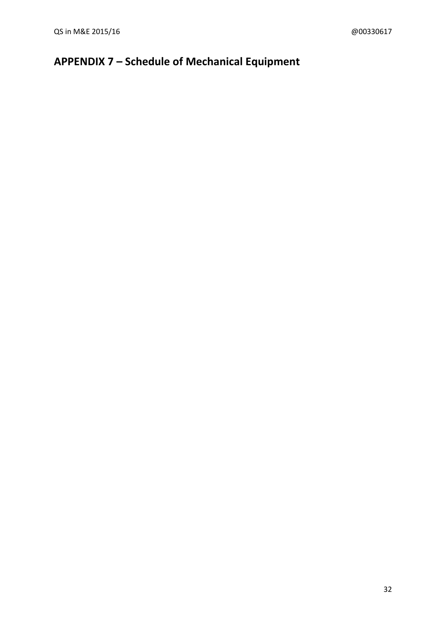## **APPENDIX 7 – Schedule of Mechanical Equipment**